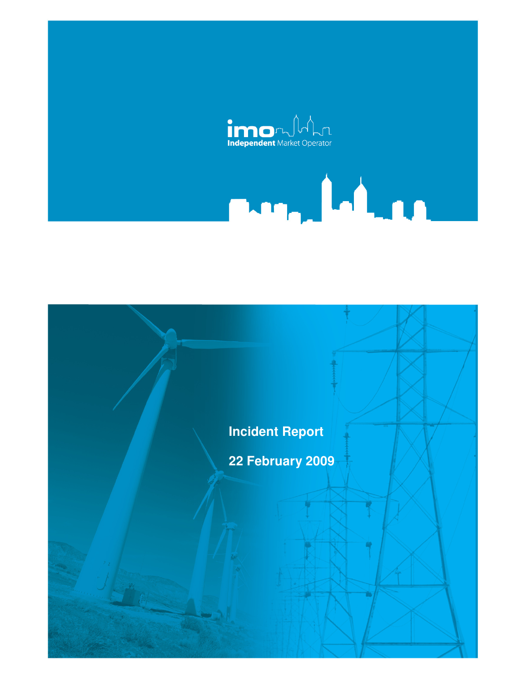

# March 1980

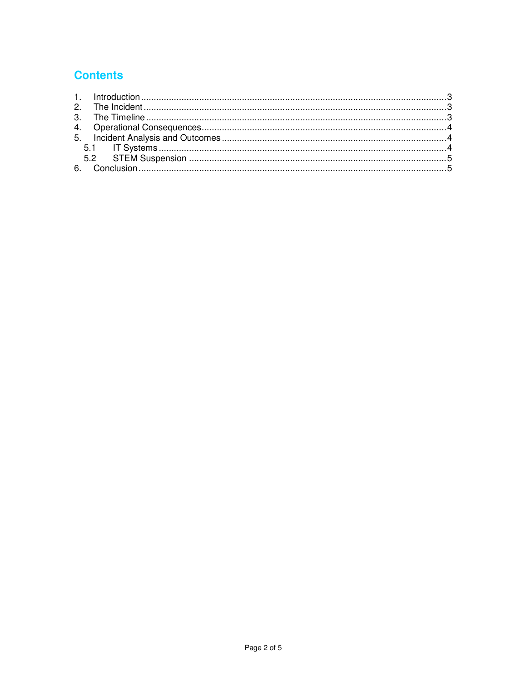# **Contents**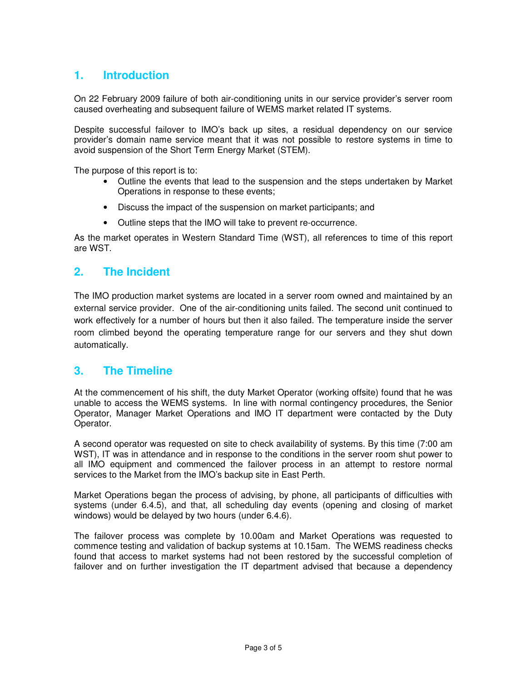# **1. Introduction**

On 22 February 2009 failure of both air-conditioning units in our service provider's server room caused overheating and subsequent failure of WEMS market related IT systems.

Despite successful failover to IMO's back up sites, a residual dependency on our service provider's domain name service meant that it was not possible to restore systems in time to avoid suspension of the Short Term Energy Market (STEM).

The purpose of this report is to:

- Outline the events that lead to the suspension and the steps undertaken by Market Operations in response to these events;
- Discuss the impact of the suspension on market participants; and
- Outline steps that the IMO will take to prevent re-occurrence.

As the market operates in Western Standard Time (WST), all references to time of this report are WST.

### **2. The Incident**

The IMO production market systems are located in a server room owned and maintained by an external service provider. One of the air-conditioning units failed. The second unit continued to work effectively for a number of hours but then it also failed. The temperature inside the server room climbed beyond the operating temperature range for our servers and they shut down automatically.

### **3. The Timeline**

At the commencement of his shift, the duty Market Operator (working offsite) found that he was unable to access the WEMS systems. In line with normal contingency procedures, the Senior Operator, Manager Market Operations and IMO IT department were contacted by the Duty Operator.

A second operator was requested on site to check availability of systems. By this time (7:00 am WST), IT was in attendance and in response to the conditions in the server room shut power to all IMO equipment and commenced the failover process in an attempt to restore normal services to the Market from the IMO's backup site in East Perth.

Market Operations began the process of advising, by phone, all participants of difficulties with systems (under 6.4.5), and that, all scheduling day events (opening and closing of market windows) would be delayed by two hours (under 6.4.6).

The failover process was complete by 10.00am and Market Operations was requested to commence testing and validation of backup systems at 10.15am. The WEMS readiness checks found that access to market systems had not been restored by the successful completion of failover and on further investigation the IT department advised that because a dependency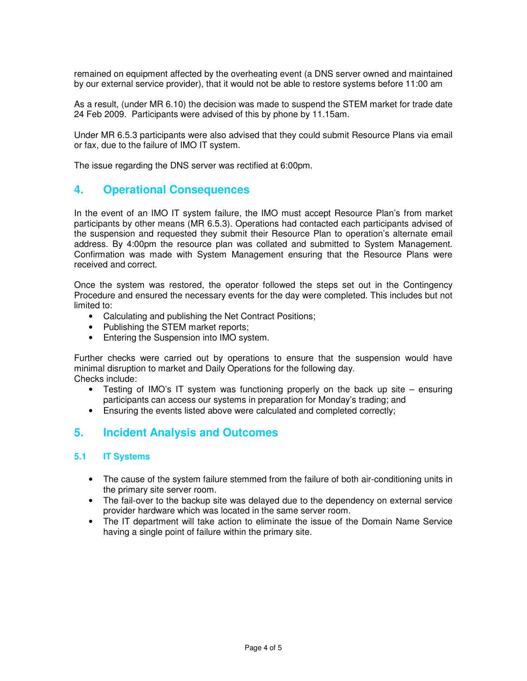remained on equipment affected by the overheating event (a DNS server owned and maintained by our external service provider), that it would not be able to restore systems before 11:00 am

As a result, (under MR 6.10) the decision was made to suspend the STEM market for trade date 24 Feb 2009. Participants were advised of this by phone by 11.15am.

Under MR 6.5.3 participants were also advised that they could submit Resource Plans via email or fax, due to the failure of IMO IT system.

The issue regarding the DNS server was rectified at 6:00pm.

### **4. Operational Consequences**

In the event of an IMO IT system failure, the IMO must accept Resource Plan's from market participants by other means (MR 6.5.3). Operations had contacted each participants advised of the suspension and requested they submit their Resource Plan to operation's alternate email address. By 4:00pm the resource plan was collated and submitted to System Management. Confirmation was made with System Management ensuring that the Resource Plans were received and correct.

Once the system was restored, the operator followed the steps set out in the Contingency Procedure and ensured the necessary events for the day were completed. This includes but not limited to:

- Calculating and publishing the Net Contract Positions;
- Publishing the STEM market reports;
- Entering the Suspension into IMO system.

Further checks were carried out by operations to ensure that the suspension would have minimal disruption to market and Daily Operations for the following day. Checks include:

- Testing of IMO's IT system was functioning properly on the back up site ensuring participants can access our systems in preparation for Monday's trading; and
- Ensuring the events listed above were calculated and completed correctly;

# **5. Incident Analysis and Outcomes**

### **5.1 IT Systems**

- The cause of the system failure stemmed from the failure of both air-conditioning units in the primary site server room.
- The fail-over to the backup site was delayed due to the dependency on external service provider hardware which was located in the same server room.
- The IT department will take action to eliminate the issue of the Domain Name Service having a single point of failure within the primary site.